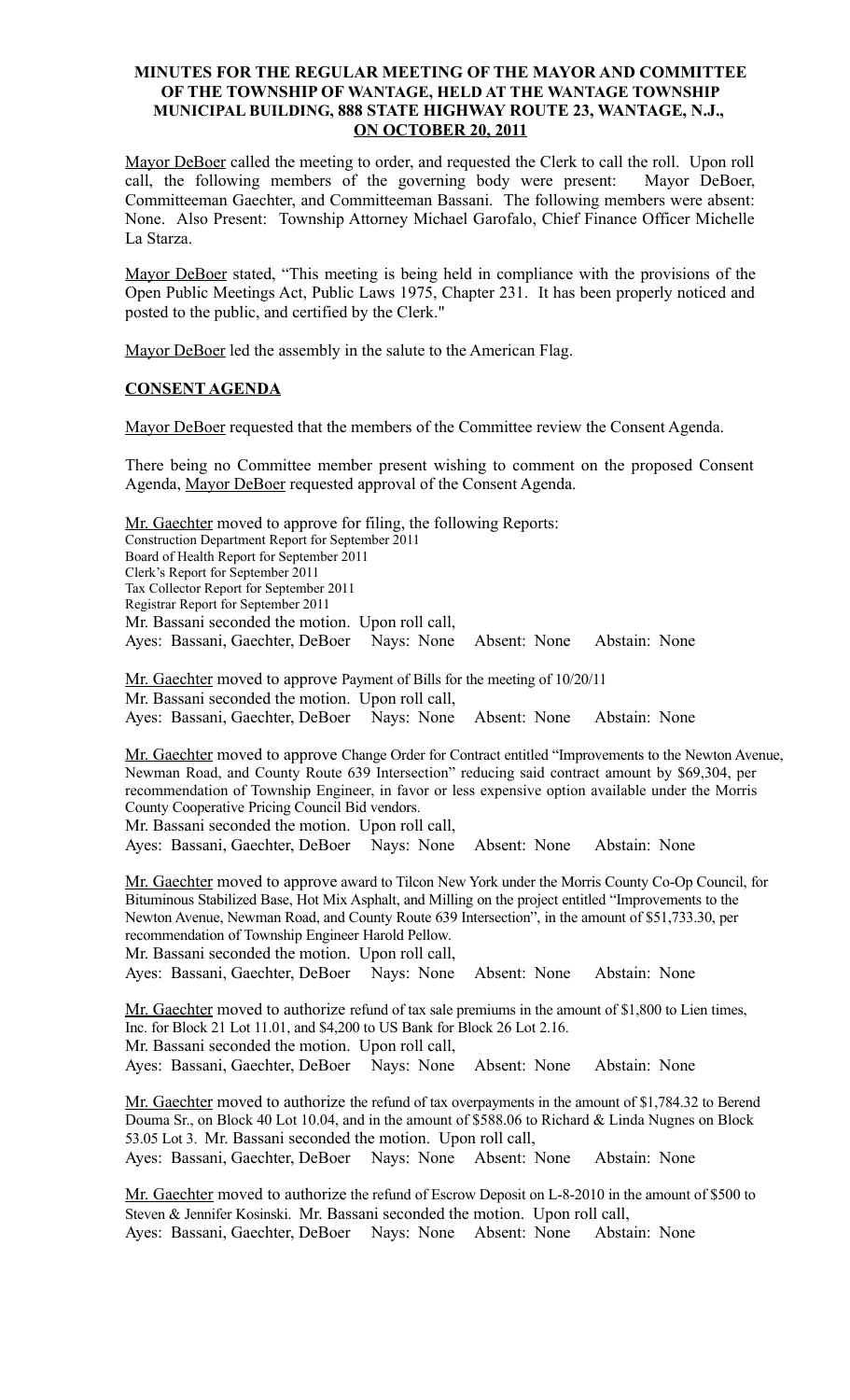# **MINUTES FOR THE REGULAR MEETING OF THE MAYOR AND COMMITTEE OF THE TOWNSHIP OF WANTAGE, HELD AT THE WANTAGE TOWNSHIP MUNICIPAL BUILDING, 888 STATE HIGHWAY ROUTE 23, WANTAGE, N.J., ON OCTOBER 20, 2011**

Mayor DeBoer called the meeting to order, and requested the Clerk to call the roll. Upon roll call, the following members of the governing body were present: Mayor DeBoer, Committeeman Gaechter, and Committeeman Bassani. The following members were absent: None. Also Present: Township Attorney Michael Garofalo, Chief Finance Officer Michelle La Starza.

Mayor DeBoer stated, "This meeting is being held in compliance with the provisions of the Open Public Meetings Act, Public Laws 1975, Chapter 231. It has been properly noticed and posted to the public, and certified by the Clerk."

Mayor DeBoer led the assembly in the salute to the American Flag.

# **CONSENT AGENDA**

Mayor DeBoer requested that the members of the Committee review the Consent Agenda.

There being no Committee member present wishing to comment on the proposed Consent Agenda, Mayor DeBoer requested approval of the Consent Agenda.

Mr. Gaechter moved to approve for filing, the following Reports: Construction Department Report for September 2011 Board of Health Report for September 2011 Clerk's Report for September 2011 Tax Collector Report for September 2011 Registrar Report for September 2011 Mr. Bassani seconded the motion. Upon roll call, Ayes: Bassani, Gaechter, DeBoer Nays: None Absent: None Abstain: None

Mr. Gaechter moved to approve Payment of Bills for the meeting of 10/20/11 Mr. Bassani seconded the motion. Upon roll call, Ayes: Bassani, Gaechter, DeBoer Nays: None Absent: None Abstain: None

Mr. Gaechter moved to approve Change Order for Contract entitled "Improvements to the Newton Avenue, Newman Road, and County Route 639 Intersection" reducing said contract amount by \$69,304, per recommendation of Township Engineer, in favor or less expensive option available under the Morris County Cooperative Pricing Council Bid vendors.

Mr. Bassani seconded the motion. Upon roll call,

Ayes: Bassani, Gaechter, DeBoer Nays: None Absent: None Abstain: None

Mr. Gaechter moved to approve award to Tilcon New York under the Morris County Co-Op Council, for Bituminous Stabilized Base, Hot Mix Asphalt, and Milling on the project entitled "Improvements to the Newton Avenue, Newman Road, and County Route 639 Intersection", in the amount of \$51,733.30, per recommendation of Township Engineer Harold Pellow. Mr. Bassani seconded the motion. Upon roll call,

Ayes: Bassani, Gaechter, DeBoer Nays: None Absent: None Abstain: None

Mr. Gaechter moved to authorize refund of tax sale premiums in the amount of \$1,800 to Lien times, Inc. for Block 21 Lot 11.01, and \$4,200 to US Bank for Block 26 Lot 2.16. Mr. Bassani seconded the motion. Upon roll call,

Ayes: Bassani, Gaechter, DeBoer Nays: None Absent: None Abstain: None

Mr. Gaechter moved to authorize the refund of tax overpayments in the amount of \$1,784.32 to Berend Douma Sr., on Block 40 Lot 10.04, and in the amount of \$588.06 to Richard & Linda Nugnes on Block 53.05 Lot 3. Mr. Bassani seconded the motion. Upon roll call,

Ayes: Bassani, Gaechter, DeBoer Nays: None Absent: None Abstain: None

Mr. Gaechter moved to authorize the refund of Escrow Deposit on L-8-2010 in the amount of \$500 to Steven & Jennifer Kosinski. Mr. Bassani seconded the motion. Upon roll call, Ayes: Bassani, Gaechter, DeBoer Nays: None Absent: None Abstain: None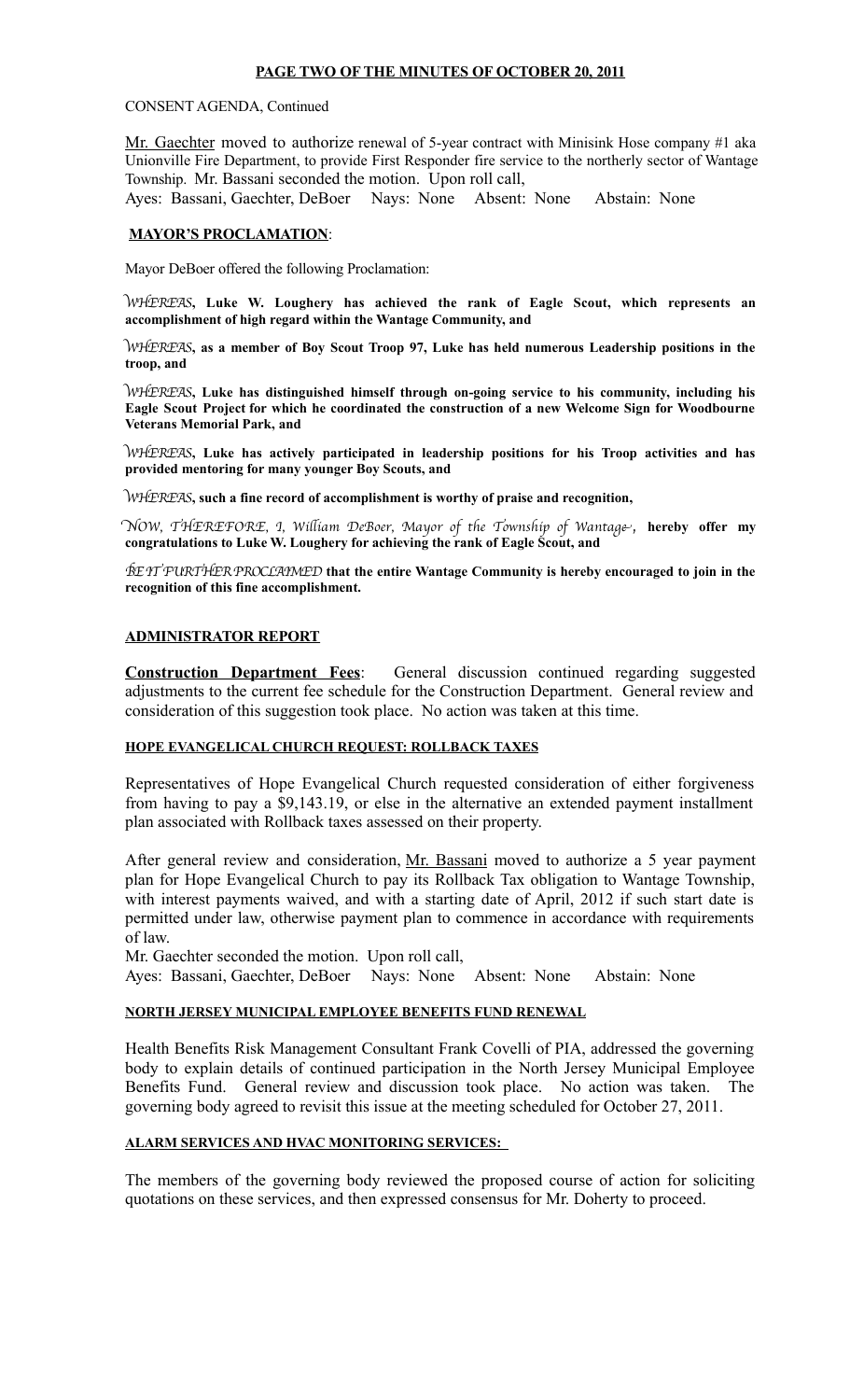### **PAGE TWO OF THE MINUTES OF OCTOBER 20, 2011**

#### CONSENT AGENDA, Continued

Mr. Gaechter moved to authorize renewal of 5-year contract with Minisink Hose company #1 aka Unionville Fire Department, to provide First Responder fire service to the northerly sector of Wantage Township. Mr. Bassani seconded the motion. Upon roll call,

Ayes: Bassani, Gaechter, DeBoer Nays: None Absent: None Abstain: None

#### **MAYOR'S PROCLAMATION**:

Mayor DeBoer offered the following Proclamation:

WHEREAS**, Luke W. Loughery has achieved the rank of Eagle Scout, which represents an accomplishment of high regard within the Wantage Community, and**

WHEREAS**, as a member of Boy Scout Troop 97, Luke has held numerous Leadership positions in the troop, and**

WHEREAS**, Luke has distinguished himself through on-going service to his community, including his Eagle Scout Project for which he coordinated the construction of a new Welcome Sign for Woodbourne Veterans Memorial Park, and**

WHEREAS**, Luke has actively participated in leadership positions for his Troop activities and has provided mentoring for many younger Boy Scouts, and** 

WHEREAS**, such a fine record of accomplishment is worthy of praise and recognition,**

NOW, THEREFORE, I, Wiliam DeBoer, Mayor of the Township of Wantage**, hereby offer my congratulations to Luke W. Loughery for achieving the rank of Eagle Scout, and** 

BE IT FURTHER PROCLAIMED **that the entire Wantage Community is hereby encouraged to join in the recognition of this fine accomplishment.**

### **ADMINISTRATOR REPORT**

**Construction Department Fees**: General discussion continued regarding suggested adjustments to the current fee schedule for the Construction Department. General review and consideration of this suggestion took place. No action was taken at this time.

### **HOPE EVANGELICAL CHURCH REQUEST: ROLLBACK TAXES**

Representatives of Hope Evangelical Church requested consideration of either forgiveness from having to pay a \$9,143.19, or else in the alternative an extended payment installment plan associated with Rollback taxes assessed on their property.

After general review and consideration, Mr. Bassani moved to authorize a 5 year payment plan for Hope Evangelical Church to pay its Rollback Tax obligation to Wantage Township, with interest payments waived, and with a starting date of April, 2012 if such start date is permitted under law, otherwise payment plan to commence in accordance with requirements of law.

Mr. Gaechter seconded the motion. Upon roll call,

Ayes: Bassani, Gaechter, DeBoer Nays: None Absent: None Abstain: None

### **NORTH JERSEY MUNICIPAL EMPLOYEE BENEFITS FUND RENEWAL**

Health Benefits Risk Management Consultant Frank Covelli of PIA, addressed the governing body to explain details of continued participation in the North Jersey Municipal Employee Benefits Fund. General review and discussion took place. No action was taken. The governing body agreed to revisit this issue at the meeting scheduled for October 27, 2011.

### **ALARM SERVICES AND HVAC MONITORING SERVICES:**

The members of the governing body reviewed the proposed course of action for soliciting quotations on these services, and then expressed consensus for Mr. Doherty to proceed.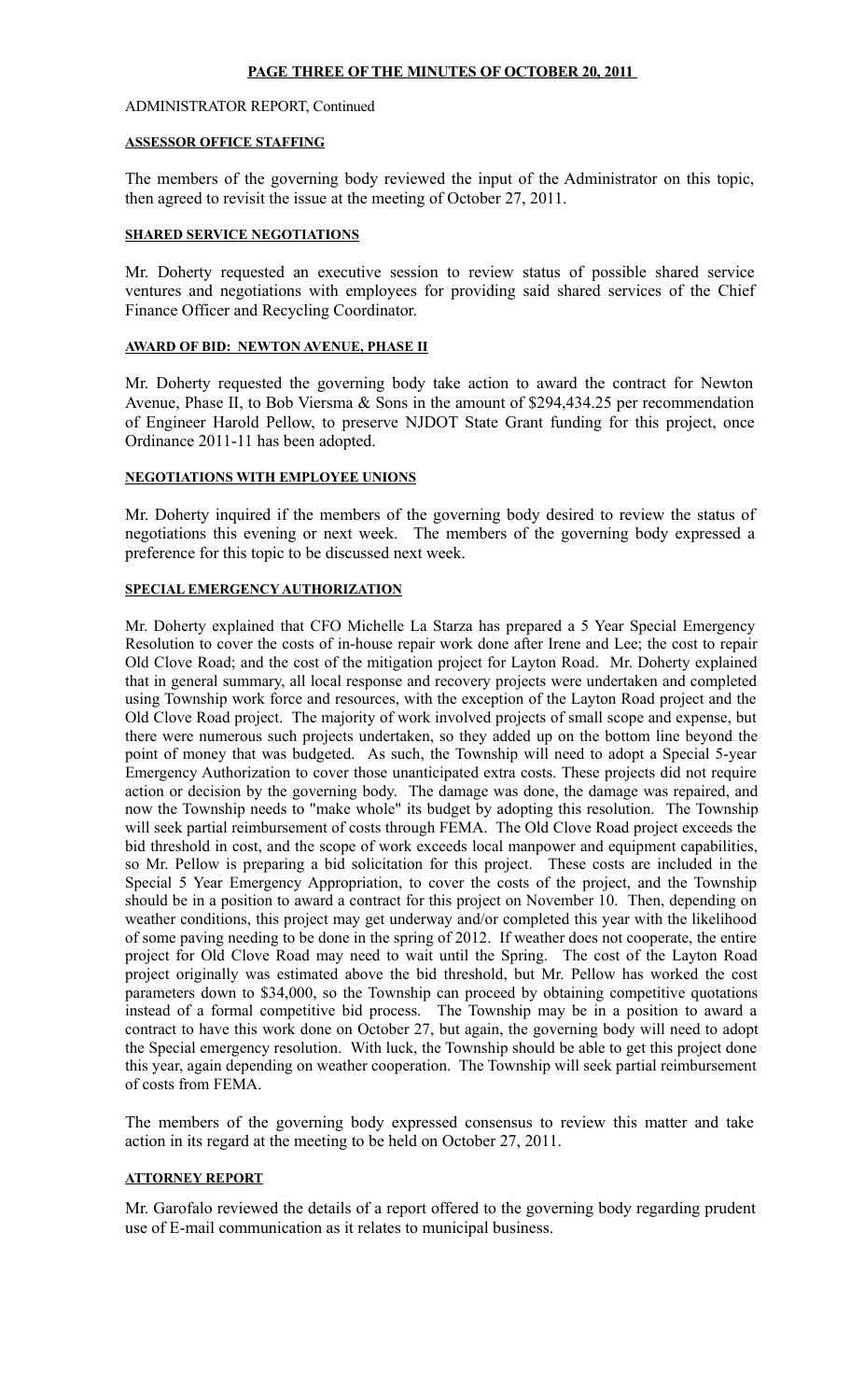### **PAGE THREE OF THE MINUTES OF OCTOBER 20, 2011**

#### ADMINISTRATOR REPORT, Continued

#### **ASSESSOR OFFICE STAFFING**

The members of the governing body reviewed the input of the Administrator on this topic, then agreed to revisit the issue at the meeting of October 27, 2011.

#### **SHARED SERVICE NEGOTIATIONS**

Mr. Doherty requested an executive session to review status of possible shared service ventures and negotiations with employees for providing said shared services of the Chief Finance Officer and Recycling Coordinator.

#### **AWARD OF BID: NEWTON AVENUE, PHASE II**

Mr. Doherty requested the governing body take action to award the contract for Newton Avenue, Phase II, to Bob Viersma & Sons in the amount of \$294,434.25 per recommendation of Engineer Harold Pellow, to preserve NJDOT State Grant funding for this project, once Ordinance 2011-11 has been adopted.

#### **NEGOTIATIONS WITH EMPLOYEE UNIONS**

Mr. Doherty inquired if the members of the governing body desired to review the status of negotiations this evening or next week. The members of the governing body expressed a preference for this topic to be discussed next week.

## **SPECIAL EMERGENCY AUTHORIZATION**

Mr. Doherty explained that CFO Michelle La Starza has prepared a 5 Year Special Emergency Resolution to cover the costs of in-house repair work done after Irene and Lee; the cost to repair Old Clove Road; and the cost of the mitigation project for Layton Road. Mr. Doherty explained that in general summary, all local response and recovery projects were undertaken and completed using Township work force and resources, with the exception of the Layton Road project and the Old Clove Road project. The majority of work involved projects of small scope and expense, but there were numerous such projects undertaken, so they added up on the bottom line beyond the point of money that was budgeted. As such, the Township will need to adopt a Special 5-year Emergency Authorization to cover those unanticipated extra costs. These projects did not require action or decision by the governing body. The damage was done, the damage was repaired, and now the Township needs to "make whole" its budget by adopting this resolution. The Township will seek partial reimbursement of costs through FEMA. The Old Clove Road project exceeds the bid threshold in cost, and the scope of work exceeds local manpower and equipment capabilities, so Mr. Pellow is preparing a bid solicitation for this project. These costs are included in the Special 5 Year Emergency Appropriation, to cover the costs of the project, and the Township should be in a position to award a contract for this project on November 10. Then, depending on weather conditions, this project may get underway and/or completed this year with the likelihood of some paving needing to be done in the spring of 2012. If weather does not cooperate, the entire project for Old Clove Road may need to wait until the Spring. The cost of the Layton Road project originally was estimated above the bid threshold, but Mr. Pellow has worked the cost parameters down to \$34,000, so the Township can proceed by obtaining competitive quotations instead of a formal competitive bid process. The Township may be in a position to award a contract to have this work done on October 27, but again, the governing body will need to adopt the Special emergency resolution. With luck, the Township should be able to get this project done this year, again depending on weather cooperation. The Township will seek partial reimbursement of costs from FEMA.

The members of the governing body expressed consensus to review this matter and take action in its regard at the meeting to be held on October 27, 2011.

# **ATTORNEY REPORT**

Mr. Garofalo reviewed the details of a report offered to the governing body regarding prudent use of E-mail communication as it relates to municipal business.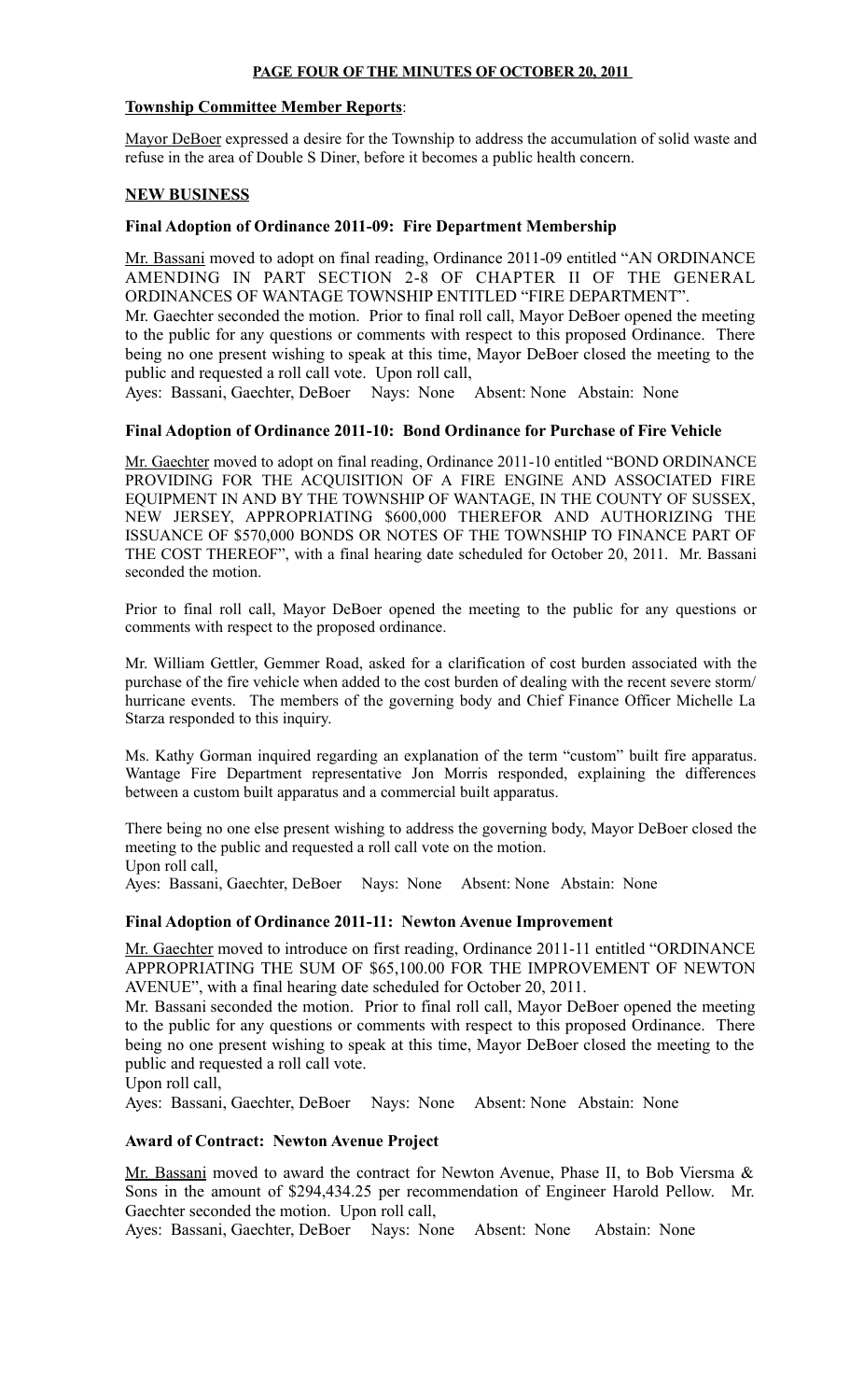## **PAGE FOUR OF THE MINUTES OF OCTOBER 20, 2011**

# **Township Committee Member Reports**:

Mayor DeBoer expressed a desire for the Township to address the accumulation of solid waste and refuse in the area of Double S Diner, before it becomes a public health concern.

# **NEW BUSINESS**

# **Final Adoption of Ordinance 2011-09: Fire Department Membership**

Mr. Bassani moved to adopt on final reading, Ordinance 2011-09 entitled "AN ORDINANCE AMENDING IN PART SECTION 2-8 OF CHAPTER II OF THE GENERAL ORDINANCES OF WANTAGE TOWNSHIP ENTITLED "FIRE DEPARTMENT".

Mr. Gaechter seconded the motion. Prior to final roll call, Mayor DeBoer opened the meeting to the public for any questions or comments with respect to this proposed Ordinance. There being no one present wishing to speak at this time, Mayor DeBoer closed the meeting to the public and requested a roll call vote. Upon roll call,

Ayes: Bassani, Gaechter, DeBoer Nays: None Absent: None Abstain: None

# **Final Adoption of Ordinance 2011-10: Bond Ordinance for Purchase of Fire Vehicle**

Mr. Gaechter moved to adopt on final reading, Ordinance 2011-10 entitled "BOND ORDINANCE PROVIDING FOR THE ACQUISITION OF A FIRE ENGINE AND ASSOCIATED FIRE EQUIPMENT IN AND BY THE TOWNSHIP OF WANTAGE, IN THE COUNTY OF SUSSEX, NEW JERSEY, APPROPRIATING \$600,000 THEREFOR AND AUTHORIZING THE ISSUANCE OF \$570,000 BONDS OR NOTES OF THE TOWNSHIP TO FINANCE PART OF THE COST THEREOF", with a final hearing date scheduled for October 20, 2011. Mr. Bassani seconded the motion.

Prior to final roll call, Mayor DeBoer opened the meeting to the public for any questions or comments with respect to the proposed ordinance.

Mr. William Gettler, Gemmer Road, asked for a clarification of cost burden associated with the purchase of the fire vehicle when added to the cost burden of dealing with the recent severe storm/ hurricane events. The members of the governing body and Chief Finance Officer Michelle La Starza responded to this inquiry.

Ms. Kathy Gorman inquired regarding an explanation of the term "custom" built fire apparatus. Wantage Fire Department representative Jon Morris responded, explaining the differences between a custom built apparatus and a commercial built apparatus.

There being no one else present wishing to address the governing body, Mayor DeBoer closed the meeting to the public and requested a roll call vote on the motion. Upon roll call,

Ayes: Bassani, Gaechter, DeBoer Nays: None Absent: None Abstain: None

# **Final Adoption of Ordinance 2011-11: Newton Avenue Improvement**

Mr. Gaechter moved to introduce on first reading, Ordinance 2011-11 entitled "ORDINANCE APPROPRIATING THE SUM OF \$65,100.00 FOR THE IMPROVEMENT OF NEWTON AVENUE", with a final hearing date scheduled for October 20, 2011.

Mr. Bassani seconded the motion. Prior to final roll call, Mayor DeBoer opened the meeting to the public for any questions or comments with respect to this proposed Ordinance. There being no one present wishing to speak at this time, Mayor DeBoer closed the meeting to the public and requested a roll call vote.

Upon roll call,

Ayes: Bassani, Gaechter, DeBoer Nays: None Absent: None Abstain: None

### **Award of Contract: Newton Avenue Project**

Mr. Bassani moved to award the contract for Newton Avenue, Phase II, to Bob Viersma & Sons in the amount of \$294,434.25 per recommendation of Engineer Harold Pellow. Mr. Gaechter seconded the motion. Upon roll call,

Ayes: Bassani, Gaechter, DeBoer Nays: None Absent: None Abstain: None